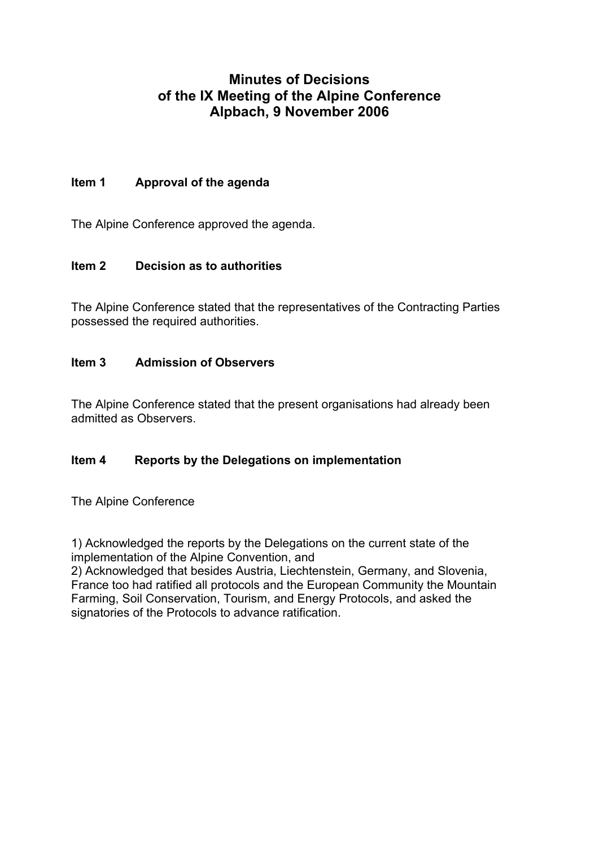# **Minutes of Decisions of the IX Meeting of the Alpine Conference Alpbach, 9 November 2006**

#### **Item 1 Approval of the agenda**

The Alpine Conference approved the agenda.

#### **Item 2 Decision as to authorities**

The Alpine Conference stated that the representatives of the Contracting Parties possessed the required authorities.

#### **Item 3 Admission of Observers**

The Alpine Conference stated that the present organisations had already been admitted as Observers.

## **Item 4 Reports by the Delegations on implementation**

The Alpine Conference

1) Acknowledged the reports by the Delegations on the current state of the implementation of the Alpine Convention, and

2) Acknowledged that besides Austria, Liechtenstein, Germany, and Slovenia, France too had ratified all protocols and the European Community the Mountain Farming, Soil Conservation, Tourism, and Energy Protocols, and asked the signatories of the Protocols to advance ratification.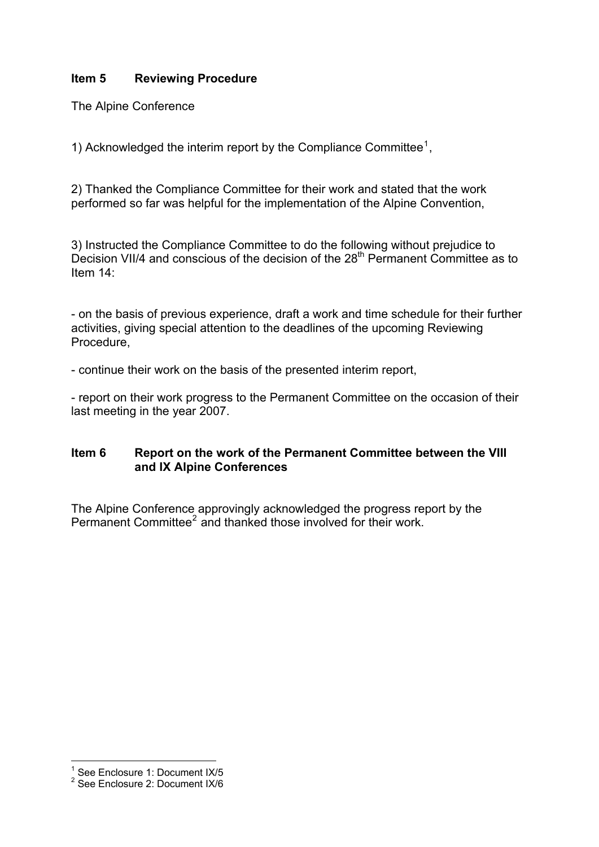### **Item 5 Reviewing Procedure**

The Alpine Conference

[1](#page-1-0)) Acknowledged the interim report by the Compliance Committee<sup>1</sup>,

2) Thanked the Compliance Committee for their work and stated that the work performed so far was helpful for the implementation of the Alpine Convention,

3) Instructed the Compliance Committee to do the following without prejudice to Decision VII/4 and conscious of the decision of the 28<sup>th</sup> Permanent Committee as to Item 14:

- on the basis of previous experience, draft a work and time schedule for their further activities, giving special attention to the deadlines of the upcoming Reviewing Procedure,

- continue their work on the basis of the presented interim report,

- report on their work progress to the Permanent Committee on the occasion of their last meeting in the year 2007.

## **Item 6 Report on the work of the Permanent Committee between the VIII and IX Alpine Conferences**

The Alpine Conference approvingly acknowledged the progress report by the Permanent Committee<sup>[2](#page-1-1)</sup> and thanked those involved for their work.

<span id="page-1-0"></span><sup>&</sup>lt;sup>1</sup> See Enclosure 1: Document IX/5

<span id="page-1-1"></span><sup>&</sup>lt;sup>2</sup> See Enclosure 2: Document IX/6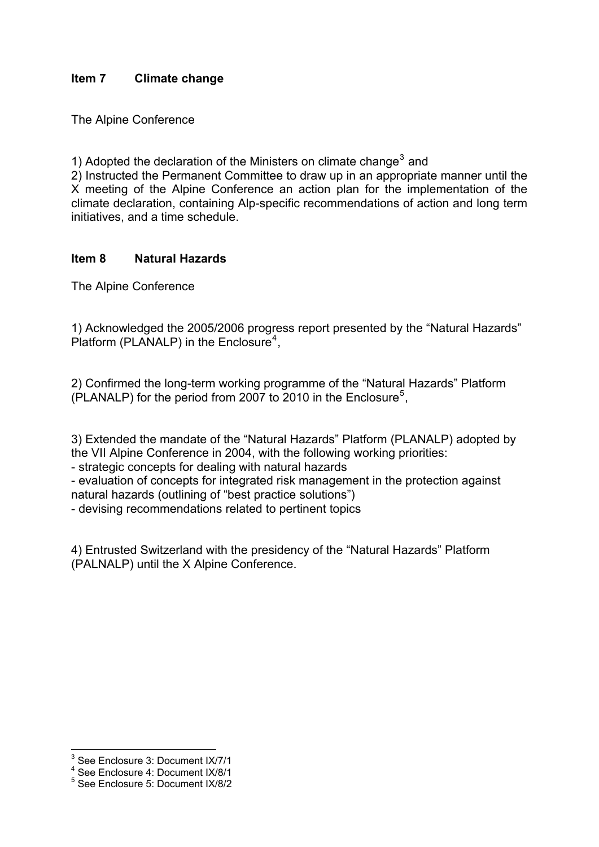## **Item 7 Climate change**

The Alpine Conference

1) Adopted the declaration of the Ministers on climate change<sup>[3](#page-2-0)</sup> and

2) Instructed the Permanent Committee to draw up in an appropriate manner until the X meeting of the Alpine Conference an action plan for the implementation of the climate declaration, containing Alp-specific recommendations of action and long term initiatives, and a time schedule.

#### **Item 8 Natural Hazards**

The Alpine Conference

1) Acknowledged the 2005/2006 progress report presented by the "Natural Hazards" Platform (PLANALP) in the Enclosure<sup>[4](#page-2-1)</sup>,

2) Confirmed the long-term working programme of the "Natural Hazards" Platform (PLANALP) for the period from 2007 to 2010 in the Enclosure<sup>[5](#page-2-2)</sup>,

3) Extended the mandate of the "Natural Hazards" Platform (PLANALP) adopted by the VII Alpine Conference in 2004, with the following working priorities:

- strategic concepts for dealing with natural hazards

- evaluation of concepts for integrated risk management in the protection against natural hazards (outlining of "best practice solutions")

- devising recommendations related to pertinent topics

4) Entrusted Switzerland with the presidency of the "Natural Hazards" Platform (PALNALP) until the X Alpine Conference.

<span id="page-2-0"></span> 3 See Enclosure 3: Document IX/7/1 4 See Enclosure 4: Document IX/8/1

<span id="page-2-1"></span>

<span id="page-2-2"></span><sup>5</sup> See Enclosure 5: Document IX/8/2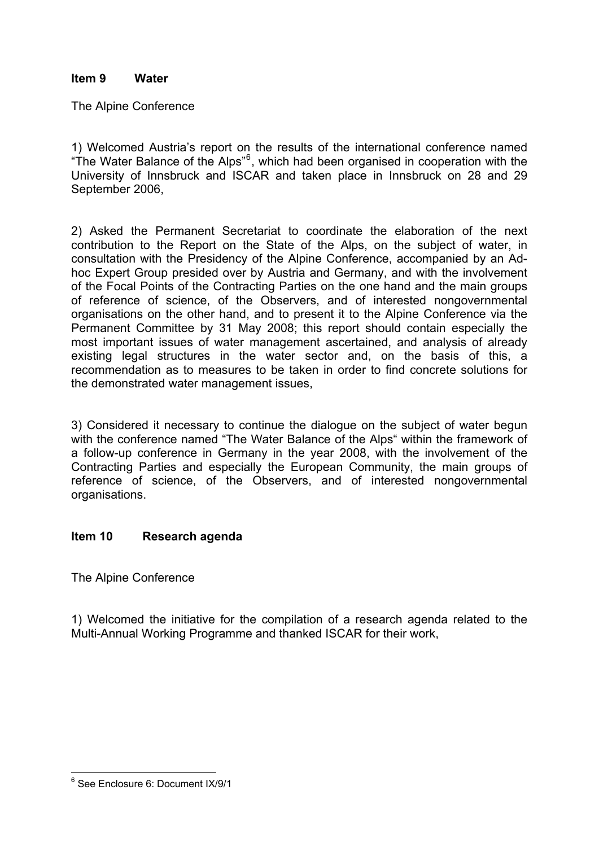#### **Item 9 Water**

The Alpine Conference

1) Welcomed Austria's report on the results of the international conference named "The Water Balance of the Alps"<sup>[6](#page-3-0)</sup>, which had been organised in cooperation with the University of Innsbruck and ISCAR and taken place in Innsbruck on 28 and 29 September 2006,

2) Asked the Permanent Secretariat to coordinate the elaboration of the next contribution to the Report on the State of the Alps, on the subject of water, in consultation with the Presidency of the Alpine Conference, accompanied by an Adhoc Expert Group presided over by Austria and Germany, and with the involvement of the Focal Points of the Contracting Parties on the one hand and the main groups of reference of science, of the Observers, and of interested nongovernmental organisations on the other hand, and to present it to the Alpine Conference via the Permanent Committee by 31 May 2008; this report should contain especially the most important issues of water management ascertained, and analysis of already existing legal structures in the water sector and, on the basis of this, a recommendation as to measures to be taken in order to find concrete solutions for the demonstrated water management issues,

3) Considered it necessary to continue the dialogue on the subject of water begun with the conference named "The Water Balance of the Alps" within the framework of a follow-up conference in Germany in the year 2008, with the involvement of the Contracting Parties and especially the European Community, the main groups of reference of science, of the Observers, and of interested nongovernmental organisations.

## **Item 10 Research agenda**

The Alpine Conference

1) Welcomed the initiative for the compilation of a research agenda related to the Multi-Annual Working Programme and thanked ISCAR for their work,

<span id="page-3-0"></span><sup>6</sup> See Enclosure 6: Document IX/9/1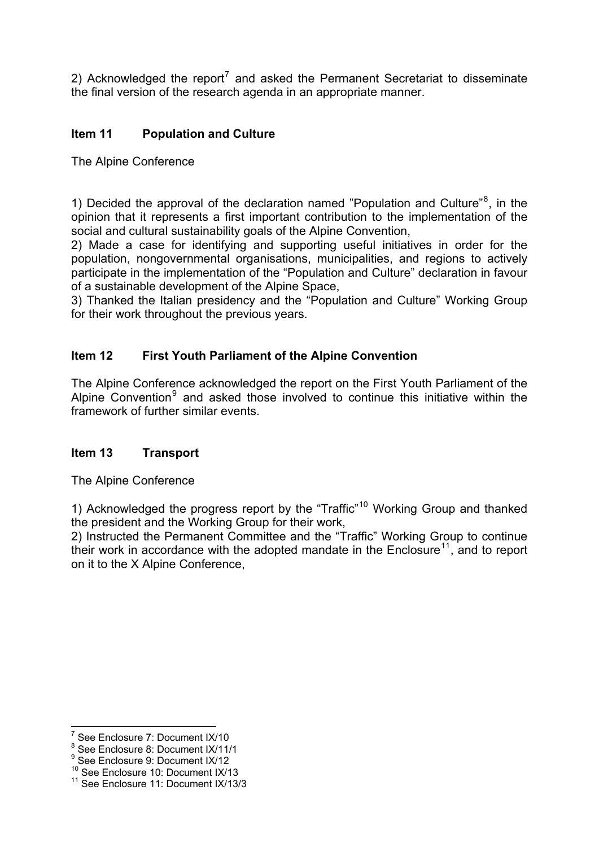2) Acknowledged the report<sup>[7](#page-4-0)</sup> and asked the Permanent Secretariat to disseminate the final version of the research agenda in an appropriate manner.

## **Item 11 Population and Culture**

The Alpine Conference

1) Decided the approval of the declaration named "Population and Culture"<sup>[8](#page-4-1)</sup>, in the opinion that it represents a first important contribution to the implementation of the social and cultural sustainability goals of the Alpine Convention,

2) Made a case for identifying and supporting useful initiatives in order for the population, nongovernmental organisations, municipalities, and regions to actively participate in the implementation of the "Population and Culture" declaration in favour of a sustainable development of the Alpine Space,

3) Thanked the Italian presidency and the "Population and Culture" Working Group for their work throughout the previous years.

## **Item 12 First Youth Parliament of the Alpine Convention**

The Alpine Conference acknowledged the report on the First Youth Parliament of the Alpine Convention<sup>[9](#page-4-2)</sup> and asked those involved to continue this initiative within the framework of further similar events.

## **Item 13 Transport**

The Alpine Conference

1) Acknowledged the progress report by the "Traffic"<sup>[10](#page-4-3)</sup> Working Group and thanked the president and the Working Group for their work,

2) Instructed the Permanent Committee and the "Traffic" Working Group to continue their work in accordance with the adopted mandate in the  $Enclosure^{11}$  $Enclosure^{11}$  $Enclosure^{11}$ , and to report on it to the X Alpine Conference,

<span id="page-4-0"></span> 7 See Enclosure 7: Document IX/10

<sup>&</sup>lt;sup>8</sup> See Enclosure 8: Document IX/11/1

<span id="page-4-2"></span><span id="page-4-1"></span><sup>9</sup> See Enclosure 9: Document IX/12

<span id="page-4-3"></span><sup>&</sup>lt;sup>10</sup> See Enclosure 10: Document IX/13

<span id="page-4-4"></span><sup>&</sup>lt;sup>11</sup> See Enclosure 11: Document IX/13/3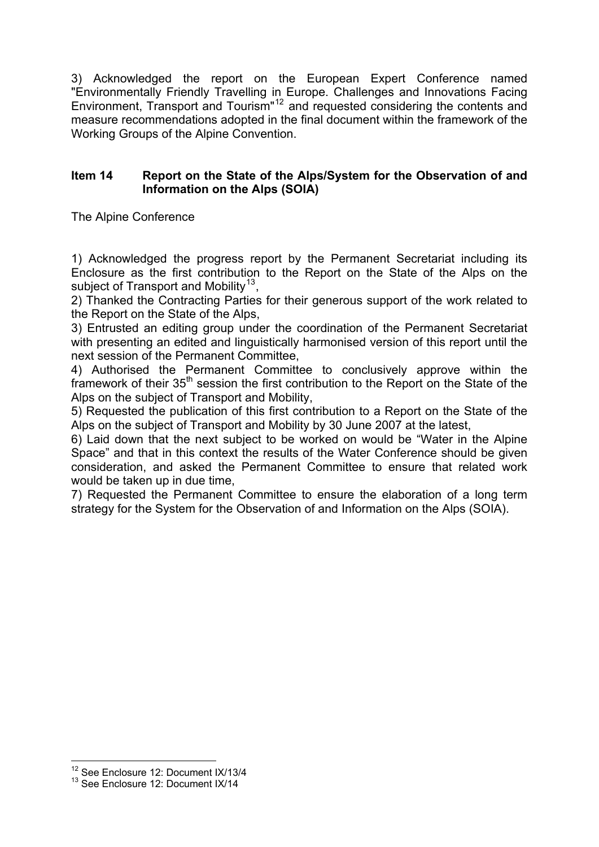3) Acknowledged the report on the European Expert Conference named "Environmentally Friendly Travelling in Europe. Challenges and Innovations Facing Environment, Transport and Tourism"[12](#page-5-0) and requested considering the contents and measure recommendations adopted in the final document within the framework of the Working Groups of the Alpine Convention.

#### **Item 14 Report on the State of the Alps/System for the Observation of and Information on the Alps (SOIA)**

The Alpine Conference

1) Acknowledged the progress report by the Permanent Secretariat including its Enclosure as the first contribution to the Report on the State of the Alps on the subject of Transport and Mobility<sup>[13](#page-5-1)</sup>,

2) Thanked the Contracting Parties for their generous support of the work related to the Report on the State of the Alps,

3) Entrusted an editing group under the coordination of the Permanent Secretariat with presenting an edited and linguistically harmonised version of this report until the next session of the Permanent Committee,

4) Authorised the Permanent Committee to conclusively approve within the framework of their 35<sup>th</sup> session the first contribution to the Report on the State of the Alps on the subject of Transport and Mobility,

5) Requested the publication of this first contribution to a Report on the State of the Alps on the subject of Transport and Mobility by 30 June 2007 at the latest,

6) Laid down that the next subject to be worked on would be "Water in the Alpine Space" and that in this context the results of the Water Conference should be given consideration, and asked the Permanent Committee to ensure that related work would be taken up in due time,

7) Requested the Permanent Committee to ensure the elaboration of a long term strategy for the System for the Observation of and Information on the Alps (SOIA).

<span id="page-5-0"></span><sup>&</sup>lt;sup>12</sup> See Enclosure 12: Document IX/13/4

<span id="page-5-1"></span><sup>&</sup>lt;sup>13</sup> See Enclosure 12: Document IX/14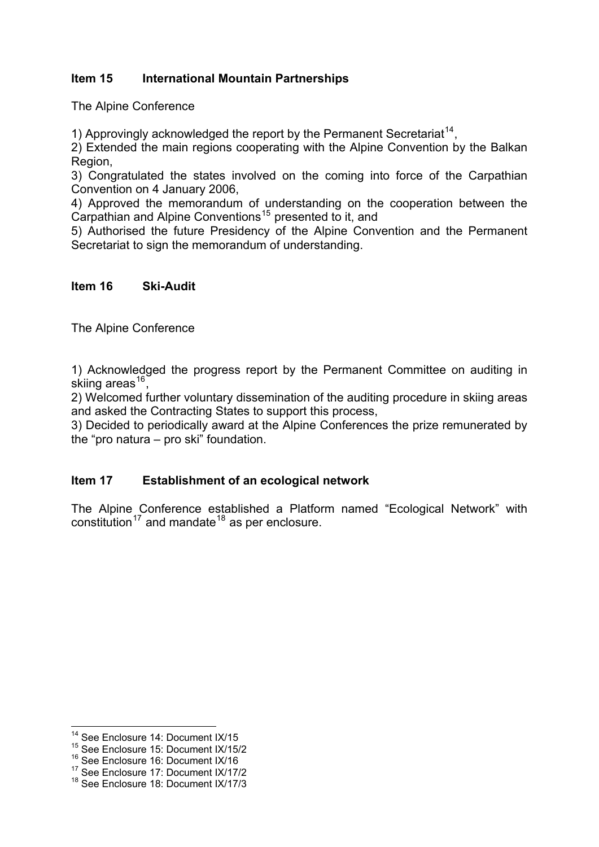## **Item 15 International Mountain Partnerships**

The Alpine Conference

1) Approvingly acknowledged the report by the Permanent Secretariat<sup>[14](#page-6-0)</sup>.

2) Extended the main regions cooperating with the Alpine Convention by the Balkan Region,

3) Congratulated the states involved on the coming into force of the Carpathian Convention on 4 January 2006,

4) Approved the memorandum of understanding on the cooperation between the Carpathian and Alpine Conventions<sup>[15](#page-6-1)</sup> presented to it, and

5) Authorised the future Presidency of the Alpine Convention and the Permanent Secretariat to sign the memorandum of understanding.

#### **Item 16 Ski-Audit**

The Alpine Conference

1) Acknowledged the progress report by the Permanent Committee on auditing in skiing areas $16$ .

2) Welcomed further voluntary dissemination of the auditing procedure in skiing areas and asked the Contracting States to support this process,

3) Decided to periodically award at the Alpine Conferences the prize remunerated by the "pro natura – pro ski" foundation.

## **Item 17 Establishment of an ecological network**

The Alpine Conference established a Platform named "Ecological Network" with constitution<sup>[17](#page-6-3)</sup> and mandate<sup>[18](#page-6-4)</sup> as per enclosure.

<sup>&</sup>lt;sup>14</sup> See Enclosure 14: Document IX/15

<span id="page-6-1"></span><span id="page-6-0"></span><sup>15</sup> See Enclosure 15: Document IX/15/2

<span id="page-6-2"></span><sup>&</sup>lt;sup>16</sup> See Enclosure 16: Document IX/16

<span id="page-6-3"></span><sup>&</sup>lt;sup>17</sup> See Enclosure 17: Document IX/17/2

<span id="page-6-4"></span><sup>&</sup>lt;sup>18</sup> See Enclosure 18: Document IX/17/3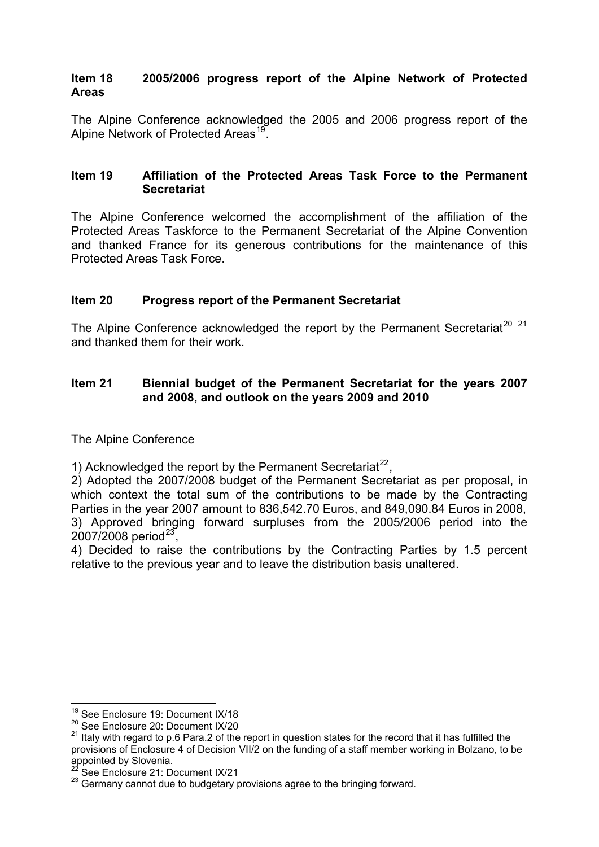#### **Item 18 2005/2006 progress report of the Alpine Network of Protected Areas**

The Alpine Conference acknowledged the 2005 and 2006 progress report of the Alpine Network of Protected Areas<sup>[19](#page-7-0)</sup>.

#### **Item 19 Affiliation of the Protected Areas Task Force to the Permanent Secretariat**

The Alpine Conference welcomed the accomplishment of the affiliation of the Protected Areas Taskforce to the Permanent Secretariat of the Alpine Convention and thanked France for its generous contributions for the maintenance of this Protected Areas Task Force.

## **Item 20 Progress report of the Permanent Secretariat**

The Alpine Conference acknowledged the report by the Permanent Secretariat<sup>[20](#page-7-1) [21](#page-7-2)</sup> and thanked them for their work.

### **Item 21 Biennial budget of the Permanent Secretariat for the years 2007 and 2008, and outlook on the years 2009 and 2010**

The Alpine Conference

1) Acknowledged the report by the Permanent Secretariat<sup>[22](#page-7-3)</sup>.

2) Adopted the 2007/2008 budget of the Permanent Secretariat as per proposal, in which context the total sum of the contributions to be made by the Contracting Parties in the year 2007 amount to 836,542.70 Euros, and 849,090.84 Euros in 2008, 3) Approved bringing forward surpluses from the 2005/2006 period into the 2007/2008 period $^{23}$  $^{23}$  $^{23}$ .

4) Decided to raise the contributions by the Contracting Parties by 1.5 percent relative to the previous year and to leave the distribution basis unaltered.

<sup>1</sup> <sup>19</sup> See Enclosure 19: Document IX/18

<span id="page-7-1"></span><span id="page-7-0"></span><sup>&</sup>lt;sup>20</sup> See Enclosure 20: Document IX/20

<span id="page-7-2"></span><sup>&</sup>lt;sup>21</sup> Italy with regard to p.6 Para.2 of the report in question states for the record that it has fulfilled the provisions of Enclosure 4 of Decision VII/2 on the funding of a staff member working in Bolzano, to be appointed by Slovenia.

<span id="page-7-3"></span>See Enclosure 21: Document IX/21

<span id="page-7-4"></span><sup>&</sup>lt;sup>23</sup> Germany cannot due to budgetary provisions agree to the bringing forward.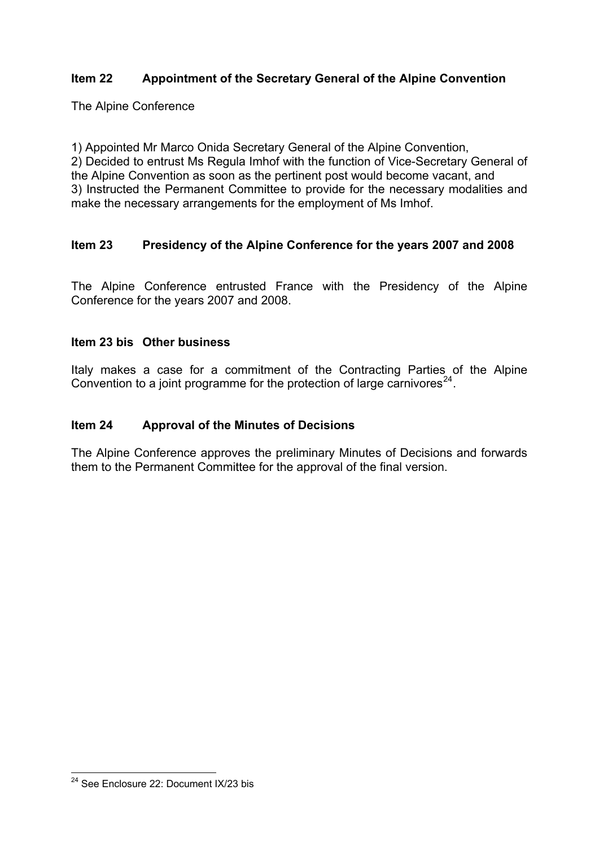## **Item 22 Appointment of the Secretary General of the Alpine Convention**

The Alpine Conference

1) Appointed Mr Marco Onida Secretary General of the Alpine Convention, 2) Decided to entrust Ms Regula Imhof with the function of Vice-Secretary General of the Alpine Convention as soon as the pertinent post would become vacant, and 3) Instructed the Permanent Committee to provide for the necessary modalities and make the necessary arrangements for the employment of Ms Imhof.

## **Item 23 Presidency of the Alpine Conference for the years 2007 and 2008**

The Alpine Conference entrusted France with the Presidency of the Alpine Conference for the years 2007 and 2008.

#### **Item 23 bis Other business**

Italy makes a case for a commitment of the Contracting Parties of the Alpine Convention to a joint programme for the protection of large carnivores $^{24}$  $^{24}$  $^{24}$ .

#### **Item 24 Approval of the Minutes of Decisions**

The Alpine Conference approves the preliminary Minutes of Decisions and forwards them to the Permanent Committee for the approval of the final version.

<span id="page-8-0"></span><sup>1</sup> <sup>24</sup> See Enclosure 22: Document IX/23 bis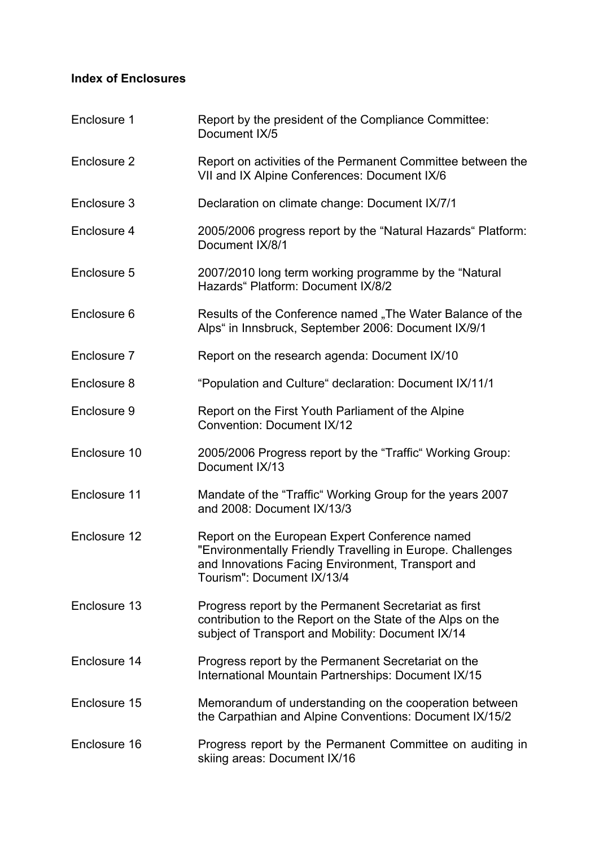## **Index of Enclosures**

| Enclosure 1  | Report by the president of the Compliance Committee:<br>Document IX/5                                                                                                                           |
|--------------|-------------------------------------------------------------------------------------------------------------------------------------------------------------------------------------------------|
| Enclosure 2  | Report on activities of the Permanent Committee between the<br>VII and IX Alpine Conferences: Document IX/6                                                                                     |
| Enclosure 3  | Declaration on climate change: Document IX/7/1                                                                                                                                                  |
| Enclosure 4  | 2005/2006 progress report by the "Natural Hazards" Platform:<br>Document IX/8/1                                                                                                                 |
| Enclosure 5  | 2007/2010 long term working programme by the "Natural"<br>Hazards" Platform: Document IX/8/2                                                                                                    |
| Enclosure 6  | Results of the Conference named "The Water Balance of the<br>Alps" in Innsbruck, September 2006: Document IX/9/1                                                                                |
| Enclosure 7  | Report on the research agenda: Document IX/10                                                                                                                                                   |
| Enclosure 8  | "Population and Culture" declaration: Document IX/11/1                                                                                                                                          |
| Enclosure 9  | Report on the First Youth Parliament of the Alpine<br><b>Convention: Document IX/12</b>                                                                                                         |
| Enclosure 10 | 2005/2006 Progress report by the "Traffic" Working Group:<br>Document IX/13                                                                                                                     |
| Enclosure 11 | Mandate of the "Traffic" Working Group for the years 2007<br>and 2008: Document IX/13/3                                                                                                         |
| Enclosure 12 | Report on the European Expert Conference named<br>"Environmentally Friendly Travelling in Europe. Challenges<br>and Innovations Facing Environment, Transport and<br>Tourism": Document IX/13/4 |
| Enclosure 13 | Progress report by the Permanent Secretariat as first<br>contribution to the Report on the State of the Alps on the<br>subject of Transport and Mobility: Document IX/14                        |
| Enclosure 14 | Progress report by the Permanent Secretariat on the<br>International Mountain Partnerships: Document IX/15                                                                                      |
| Enclosure 15 | Memorandum of understanding on the cooperation between<br>the Carpathian and Alpine Conventions: Document IX/15/2                                                                               |
| Enclosure 16 | Progress report by the Permanent Committee on auditing in<br>skiing areas: Document IX/16                                                                                                       |